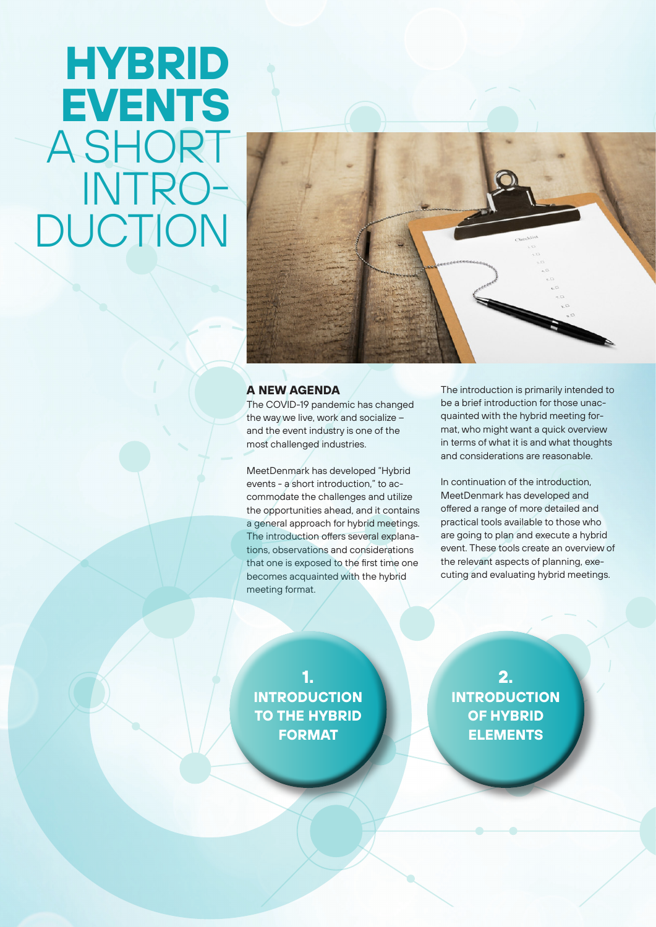# **HYBRID EVENTS A SHORT** INTRO-DUCTION



#### **A NEW AGENDA**

The COVID-19 pandemic has changed the way we live, work and socialize – and the event industry is one of the most challenged industries.

MeetDenmark has developed "Hybrid events - a short introduction," to accommodate the challenges and utilize the opportunities ahead, and it contains a general approach for hybrid meetings. The introduction offers several explanations, observations and considerations that one is exposed to the first time one becomes acquainted with the hybrid meeting format.

The introduction is primarily intended to be a brief introduction for those unacquainted with the hybrid meeting format, who might want a quick overview in terms of what it is and what thoughts and considerations are reasonable.

In continuation of the introduction, MeetDenmark has developed and offered a range of more detailed and practical tools available to those who are going to plan and execute a hybrid event. These tools create an overview of the relevant aspects of planning, executing and evaluating hybrid meetings.

**1. INTRODUCTION TO THE HYBRID FORMAT**

**2. INTRODUCTION OF HYBRID ELEMENTS**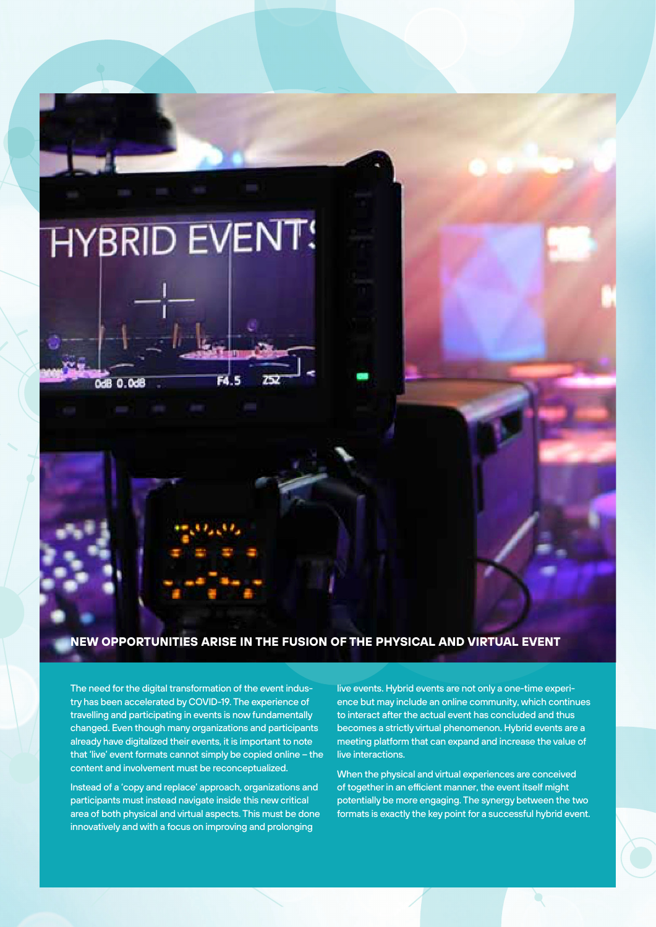# **HYBRID EVENT!**

# 04B 0.04E

## **NEW OPPORTUNITIES ARISE IN THE FUSION OF THE PHYSICAL AND VIRTUAL EVENT**

The need for the digital transformation of the event industry has been accelerated by COVID-19. The experience of travelling and participating in events is now fundamentally changed. Even though many organizations and participants already have digitalized their events, it is important to note that 'live' event formats cannot simply be copied online – the content and involvement must be reconceptualized.

Instead of a 'copy and replace' approach, organizations and participants must instead navigate inside this new critical area of both physical and virtual aspects. This must be done innovatively and with a focus on improving and prolonging

live events. Hybrid events are not only a one-time experience but may include an online community, which continues to interact after the actual event has concluded and thus becomes a strictly virtual phenomenon. Hybrid events are a meeting platform that can expand and increase the value of live interactions.

When the physical and virtual experiences are conceived of together in an efficient manner, the event itself might potentially be more engaging. The synergy between the two formats is exactly the key point for a successful hybrid event.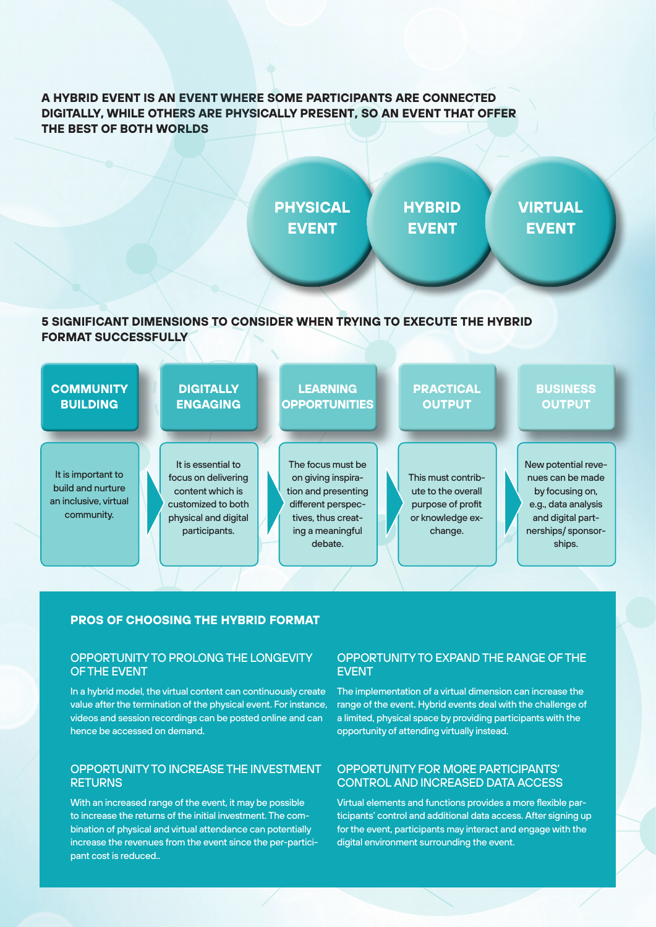## **A HYBRID EVENT IS AN EVENT WHERE SOME PARTICIPANTS ARE CONNECTED DIGITALLY, WHILE OTHERS ARE PHYSICALLY PRESENT, SO AN EVENT THAT OFFER THE BEST OF BOTH WORLDS**



#### **PROS OF CHOOSING THE HYBRID FORMAT**

#### OPPORTUNITY TO PROLONG THE LONGEVITY OF THE EVENT

In a hybrid model, the virtual content can continuously create value after the termination of the physical event. For instance, videos and session recordings can be posted online and can hence be accessed on demand.

#### OPPORTUNITY TO INCREASE THE INVESTMENT **RETURNS**

With an increased range of the event, it may be possible to increase the returns of the initial investment. The combination of physical and virtual attendance can potentially increase the revenues from the event since the per-participant cost is reduced..

#### OPPORTUNITY TO EXPAND THE RANGE OF THE **EVENT**

The implementation of a virtual dimension can increase the range of the event. Hybrid events deal with the challenge of a limited, physical space by providing participants with the opportunity of attending virtually instead.

#### OPPORTUNITY FOR MORE PARTICIPANTS' CONTROL AND INCREASED DATA ACCESS

Virtual elements and functions provides a more flexible participants' control and additional data access. After signing up for the event, participants may interact and engage with the digital environment surrounding the event.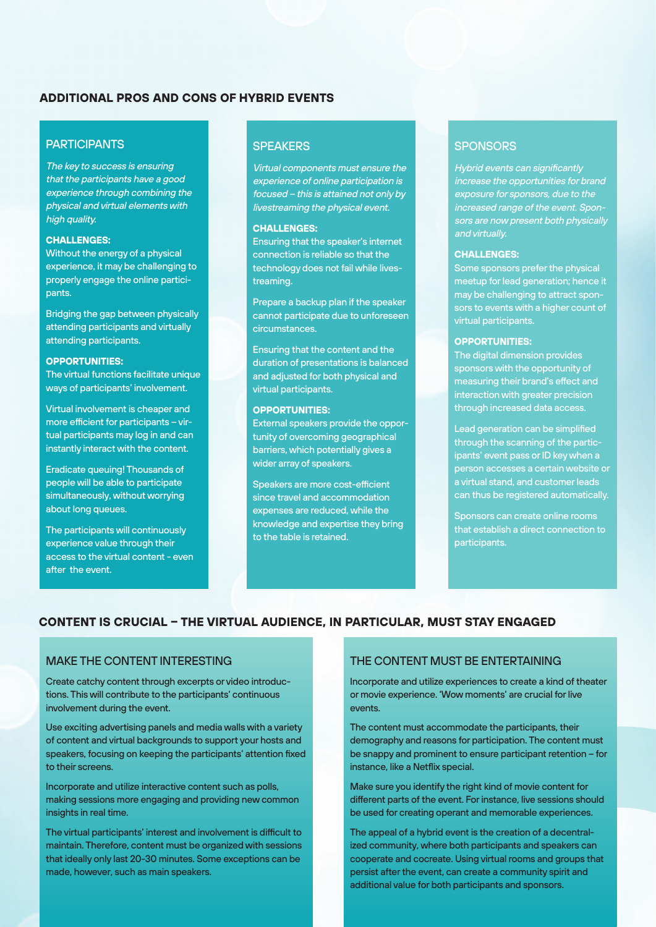#### **ADDITIONAL PROS AND CONS OF HYBRID EVENTS**

#### **PARTICIPANTS**

The key to success is ensuring that the participants have a good experience through combining the physical and virtual elements with high quality.

#### **CHALLENGES:**

Without the energy of a physical experience, it may be challenging to properly engage the online participants.

Bridging the gap between physically attending participants and virtually attending participants.

#### **OPPORTUNITIES:**

The virtual functions facilitate unique ways of participants' involvement.

Virtual involvement is cheaper and more efficient for participants – virtual participants may log in and can instantly interact with the content.

Eradicate queuing! Thousands of people will be able to participate simultaneously, without worrying about long queues.

The participants will continuously experience value through their access to the virtual content - even after the event.

#### **SPEAKERS**

Virtual components must ensure the experience of online participation is focused – this is attained not only by livestreaming the physical event.

#### **CHALLENGES:**

Ensuring that the speaker's internet connection is reliable so that the technology does not fail while livestreaming.

Prepare a backup plan if the speaker cannot participate due to unforeseen circumstances.

Ensuring that the content and the duration of presentations is balanced and adjusted for both physical and virtual participants.

#### **OPPORTUNITIES:**

External speakers provide the opportunity of overcoming geographical barriers, which potentially gives a wider array of speakers.

Speakers are more cost-efficient since travel and accommodation expenses are reduced, while the knowledge and expertise they bring to the table is retained.

#### **SPONSORS**

Hybrid events can significantly increase the opportunities for brand exposure for sponsors, due to the increased range of the event. Sponsors are now present both physically and virtually.

#### **CHALLENGES:**

Some sponsors prefer the physical meetup for lead generation; hence it may be challenging to attract sponsors to events with a higher count of virtual participants.

#### **OPPORTUNITIES:**

The digital dimension provides sponsors with the opportunity of measuring their brand's effect and interaction with greater precision through increased data access.

Lead generation can be simplified through the scanning of the participants' event pass or ID key when a person accesses a certain website or a virtual stand, and customer leads can thus be registered automatically.

Sponsors can create online rooms that establish a direct connection to participants.

## **CONTENT IS CRUCIAL – THE VIRTUAL AUDIENCE, IN PARTICULAR, MUST STAY ENGAGED**

#### MAKE THE CONTENT INTERESTING

Create catchy content through excerpts or video introductions. This will contribute to the participants' continuous involvement during the event.

Use exciting advertising panels and media walls with a variety of content and virtual backgrounds to support your hosts and speakers, focusing on keeping the participants' attention fixed to their screens.

Incorporate and utilize interactive content such as polls, making sessions more engaging and providing new common insights in real time.

The virtual participants' interest and involvement is difficult to maintain. Therefore, content must be organized with sessions that ideally only last 20-30 minutes. Some exceptions can be made, however, such as main speakers.

#### THE CONTENT MUST BE ENTERTAINING

Incorporate and utilize experiences to create a kind of theater or movie experience. 'Wow moments' are crucial for live events.

The content must accommodate the participants, their demography and reasons for participation. The content must be snappy and prominent to ensure participant retention – for instance, like a Netflix special.

Make sure you identify the right kind of movie content for different parts of the event. For instance, live sessions should be used for creating operant and memorable experiences.

The appeal of a hybrid event is the creation of a decentralized community, where both participants and speakers can cooperate and cocreate. Using virtual rooms and groups that persist after the event, can create a community spirit and additional value for both participants and sponsors.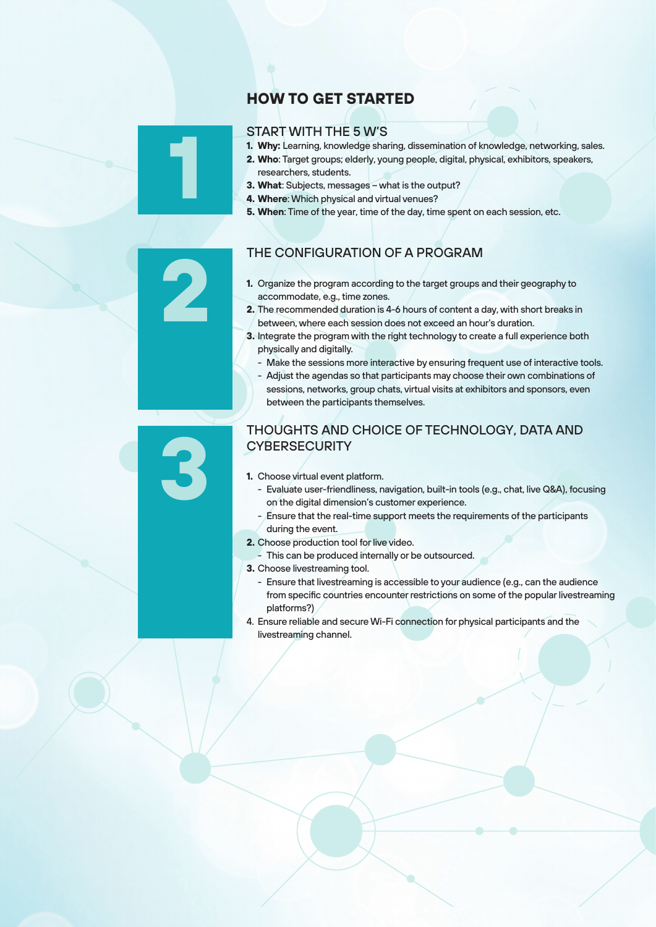# **HOW TO GET STARTED**

#### START WITH THE 5 W'S

- **1. Why:** Learning, knowledge sharing, dissemination of knowledge, networking, sales.
- **2. Who**: Target groups; elderly, young people, digital, physical, exhibitors, speakers, researchers, students.
- **3. What**: Subjects, messages what is the output?
- **4. Where**: Which physical and virtual venues?
- **5. When**: Time of the year, time of the day, time spent on each session, etc.

# THE CONFIGURATION OF A PROGRAM

- **1.** Organize the program according to the target groups and their geography to accommodate, e.g., time zones.
- **2.** The recommended duration is 4-6 hours of content a day, with short breaks in between, where each session does not exceed an hour's duration.
- **3.** Integrate the program with the right technology to create a full experience both physically and digitally.
	- Make the sessions more interactive by ensuring frequent use of interactive tools. - Adjust the agendas so that participants may choose their own combinations of sessions, networks, group chats, virtual visits at exhibitors and sponsors, even between the participants themselves.

# THOUGHTS AND CHOICE OF TECHNOLOGY, DATA AND **CYBERSECURITY**

- **1.** Choose virtual event platform.
	- Evaluate user-friendliness, navigation, built-in tools (e.g., chat, live Q&A), focusing on the digital dimension's customer experience.
	- Ensure that the real-time support meets the requirements of the participants during the event.
- **2.** Choose production tool for live video.
	- This can be produced internally or be outsourced.
- **3.** Choose livestreaming tool.
	- Ensure that livestreaming is accessible to your audience (e.g., can the audience from specific countries encounter restrictions on some of the popular livestreaming platforms?)
- 4. Ensure reliable and secure Wi-Fi connection for physical participants and the livestreaming channel.



**3**

**1**